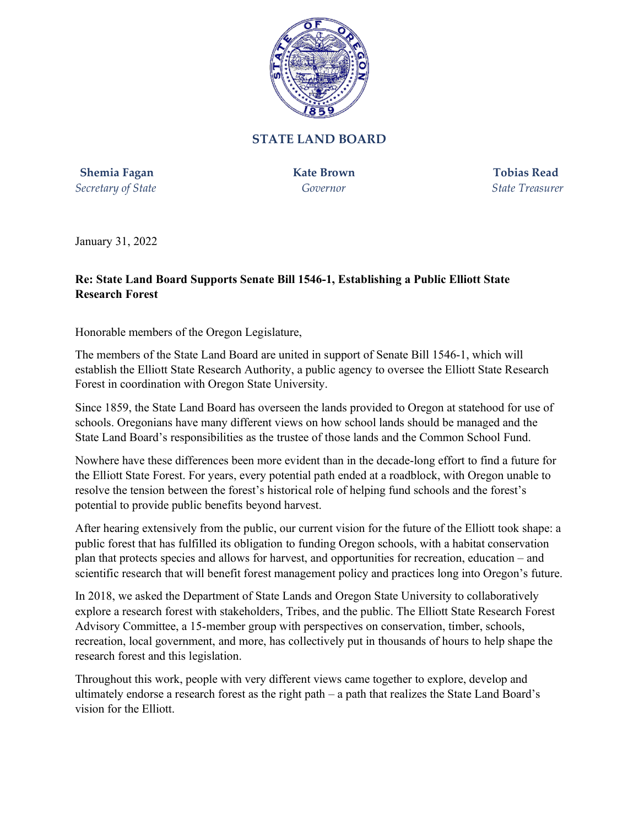

## **STATE LAND BOARD**

**Shemia Fagan Kate Brown Tobias Read** *Secretary of State Governor State Treasurer*

January 31, 2022

## **Re: State Land Board Supports Senate Bill 1546-1, Establishing a Public Elliott State Research Forest**

Honorable members of the Oregon Legislature,

The members of the State Land Board are united in support of Senate Bill 1546-1, which will establish the Elliott State Research Authority, a public agency to oversee the Elliott State Research Forest in coordination with Oregon State University.

Since 1859, the State Land Board has overseen the lands provided to Oregon at statehood for use of schools. Oregonians have many different views on how school lands should be managed and the State Land Board's responsibilities as the trustee of those lands and the Common School Fund.

Nowhere have these differences been more evident than in the decade-long effort to find a future for the Elliott State Forest. For years, every potential path ended at a roadblock, with Oregon unable to resolve the tension between the forest's historical role of helping fund schools and the forest's potential to provide public benefits beyond harvest.

After hearing extensively from the public, our current vision for the future of the Elliott took shape: a public forest that has fulfilled its obligation to funding Oregon schools, with a habitat conservation plan that protects species and allows for harvest, and opportunities for recreation, education – and scientific research that will benefit forest management policy and practices long into Oregon's future.

In 2018, we asked the Department of State Lands and Oregon State University to collaboratively explore a research forest with stakeholders, Tribes, and the public. The Elliott State Research Forest Advisory Committee, a 15-member group with perspectives on conservation, timber, schools, recreation, local government, and more, has collectively put in thousands of hours to help shape the research forest and this legislation.

Throughout this work, people with very different views came together to explore, develop and ultimately endorse a research forest as the right path – a path that realizes the State Land Board's vision for the Elliott.